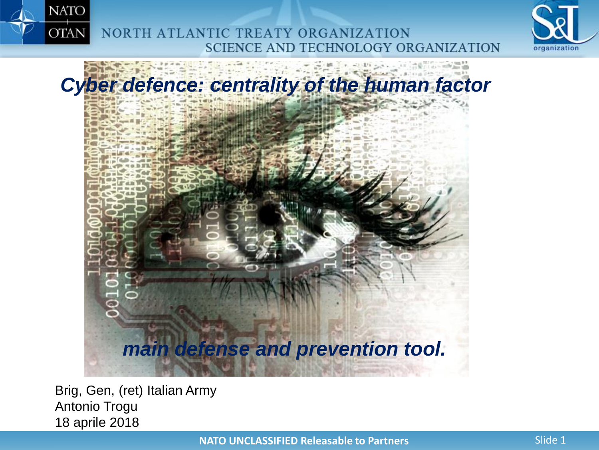

NORTH ATLANTIC TREATY ORGANIZATION SCIENCE AND TECHNOLOGY ORGANIZATION





Brig, Gen, (ret) Italian Army Antonio Trogu 18 aprile 2018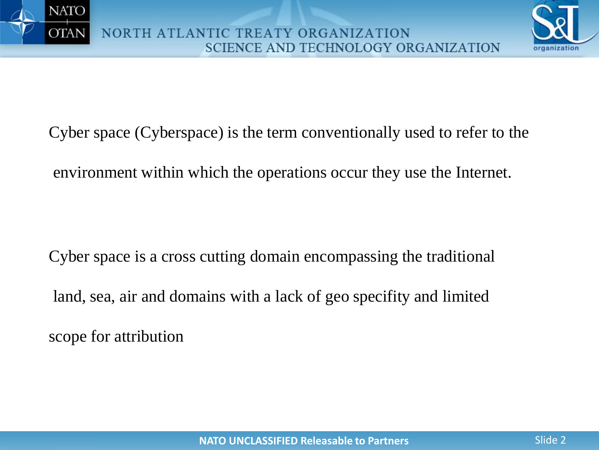



Cyber space (Cyberspace) is the term conventionally used to refer to the environment within which the operations occur they use the Internet.

Cyber space is a cross cutting domain encompassing the traditional land, sea, air and domains with a lack of geo specifity and limited scope for attribution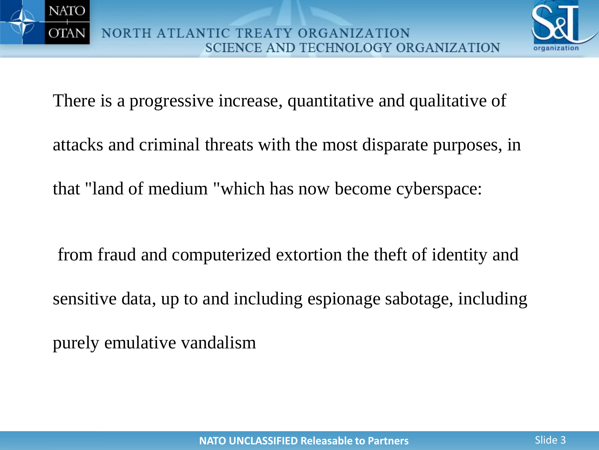



There is a progressive increase, quantitative and qualitative of

attacks and criminal threats with the most disparate purposes, in

that "land of medium "which has now become cyberspace:

from fraud and computerized extortion the theft of identity and

sensitive data, up to and including espionage sabotage, including

purely emulative vandalism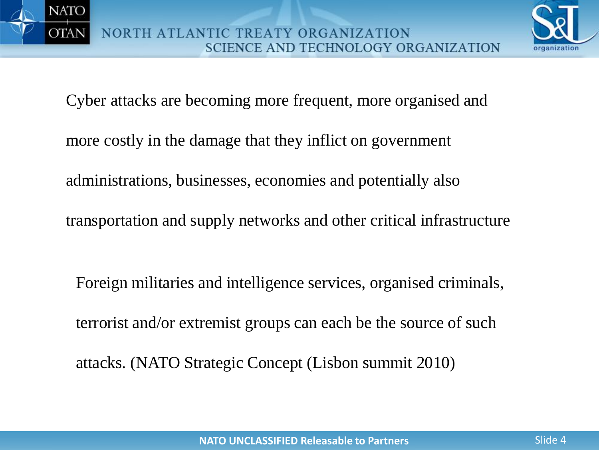



Cyber attacks are becoming more frequent, more organised and

- more costly in the damage that they inflict on government
- administrations, businesses, economies and potentially also
- transportation and supply networks and other critical infrastructure
	- Foreign militaries and intelligence services, organised criminals, terrorist and/or extremist groups can each be the source of such attacks. (NATO Strategic Concept (Lisbon summit 2010)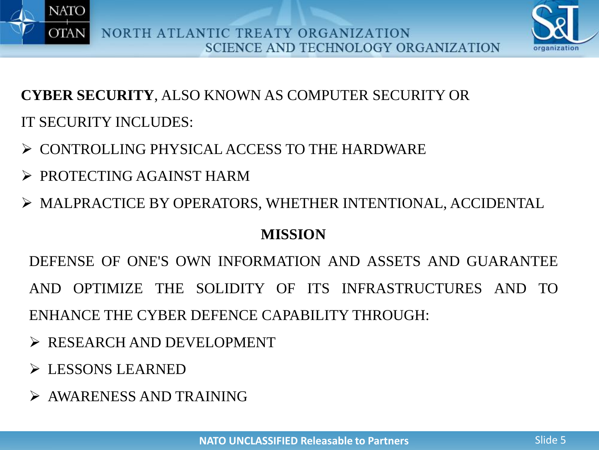



**CYBER SECURITY**, ALSO KNOWN AS COMPUTER SECURITY OR IT SECURITY INCLUDES:

- CONTROLLING PHYSICAL ACCESS TO THE HARDWARE
- **EXPROTECTING AGAINST HARM**
- MALPRACTICE BY OPERATORS, WHETHER INTENTIONAL, ACCIDENTAL

### **MISSION**

DEFENSE OF ONE'S OWN INFORMATION AND ASSETS AND GUARANTEE AND OPTIMIZE THE SOLIDITY OF ITS INFRASTRUCTURES AND TO ENHANCE THE CYBER DEFENCE CAPABILITY THROUGH:

- $\triangleright$  RESEARCH AND DEVELOPMENT
- **EXSONS LEARNED**
- AWARENESS AND TRAINING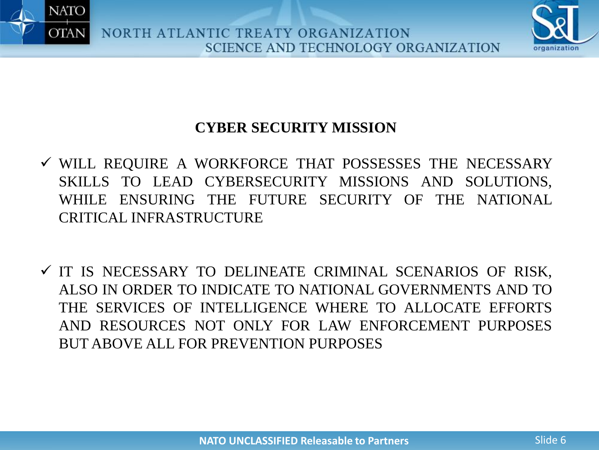



### **CYBER SECURITY MISSION**

- WILL REQUIRE A WORKFORCE THAT POSSESSES THE NECESSARY SKILLS TO LEAD CYBERSECURITY MISSIONS AND SOLUTIONS, WHILE ENSURING THE FUTURE SECURITY OF THE NATIONAL CRITICAL INFRASTRUCTURE
- $\checkmark$  IT IS NECESSARY TO DELINEATE CRIMINAL SCENARIOS OF RISK, ALSO IN ORDER TO INDICATE TO NATIONAL GOVERNMENTS AND TO THE SERVICES OF INTELLIGENCE WHERE TO ALLOCATE EFFORTS AND RESOURCES NOT ONLY FOR LAW ENFORCEMENT PURPOSES BUT ABOVE ALL FOR PREVENTION PURPOSES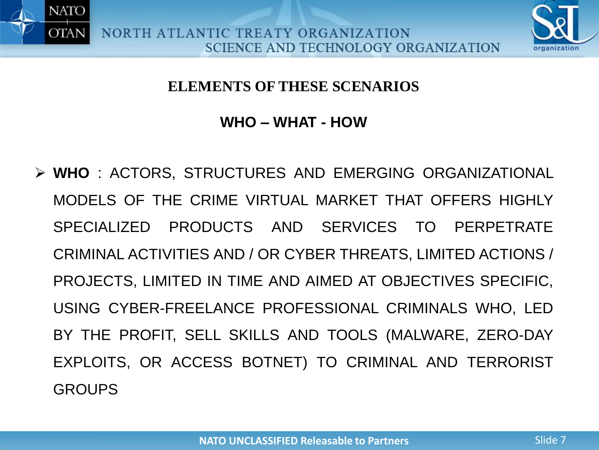



#### **ELEMENTS OF THESE SCENARIOS**

#### **WHO – WHAT - HOW**

 **WHO** : ACTORS, STRUCTURES AND EMERGING ORGANIZATIONAL MODELS OF THE CRIME VIRTUAL MARKET THAT OFFERS HIGHLY SPECIALIZED PRODUCTS AND SERVICES TO PERPETRATE CRIMINAL ACTIVITIES AND / OR CYBER THREATS, LIMITED ACTIONS / PROJECTS, LIMITED IN TIME AND AIMED AT OBJECTIVES SPECIFIC, USING CYBER-FREELANCE PROFESSIONAL CRIMINALS WHO, LED BY THE PROFIT, SELL SKILLS AND TOOLS (MALWARE, ZERO-DAY EXPLOITS, OR ACCESS BOTNET) TO CRIMINAL AND TERRORIST GROUPS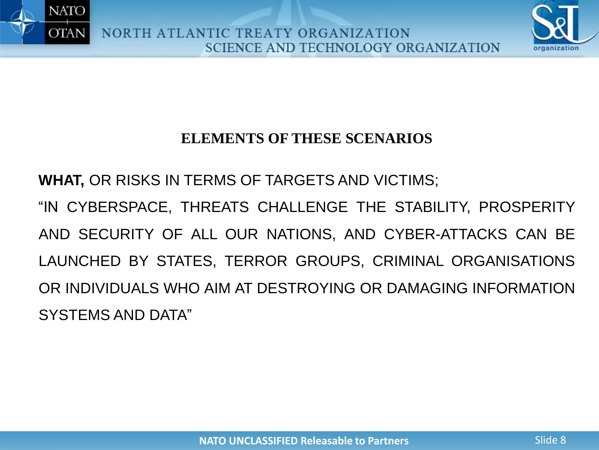



### **ELEMENTS OF THESE SCENARIOS**

**WHAT,** OR RISKS IN TERMS OF TARGETS AND VICTIMS;

"IN CYBERSPACE, THREATS CHALLENGE THE STABILITY, PROSPERITY AND SECURITY OF ALL OUR NATIONS, AND CYBER-ATTACKS CAN BE LAUNCHED BY STATES, TERROR GROUPS, CRIMINAL ORGANISATIONS OR INDIVIDUALS WHO AIM AT DESTROYING OR DAMAGING INFORMATION SYSTEMS AND DATA"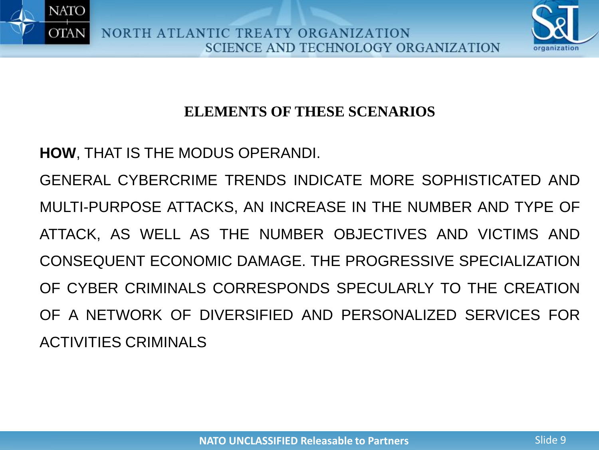



### **ELEMENTS OF THESE SCENARIOS**

**HOW**, THAT IS THE MODUS OPERANDI.

GENERAL CYBERCRIME TRENDS INDICATE MORE SOPHISTICATED AND MULTI-PURPOSE ATTACKS, AN INCREASE IN THE NUMBER AND TYPE OF ATTACK, AS WELL AS THE NUMBER OBJECTIVES AND VICTIMS AND CONSEQUENT ECONOMIC DAMAGE. THE PROGRESSIVE SPECIALIZATION OF CYBER CRIMINALS CORRESPONDS SPECULARLY TO THE CREATION OF A NETWORK OF DIVERSIFIED AND PERSONALIZED SERVICES FOR ACTIVITIES CRIMINALS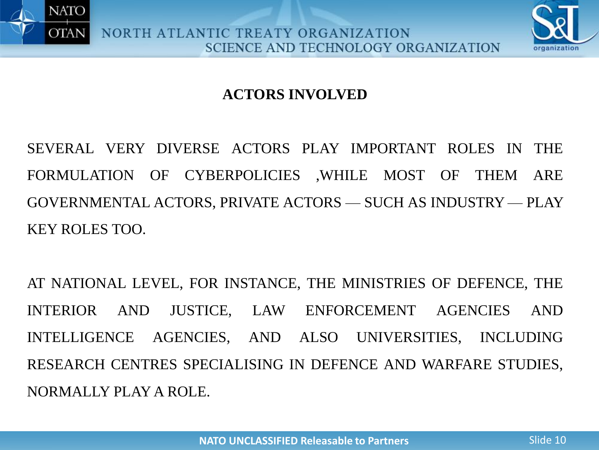



## **ACTORS INVOLVED**

SEVERAL VERY DIVERSE ACTORS PLAY IMPORTANT ROLES IN THE FORMULATION OF CYBERPOLICIES ,WHILE MOST OF THEM ARE GOVERNMENTAL ACTORS, PRIVATE ACTORS — SUCH AS INDUSTRY — PLAY KEY ROLES TOO.

AT NATIONAL LEVEL, FOR INSTANCE, THE MINISTRIES OF DEFENCE, THE INTERIOR AND JUSTICE, LAW ENFORCEMENT AGENCIES AND INTELLIGENCE AGENCIES, AND ALSO UNIVERSITIES, INCLUDING RESEARCH CENTRES SPECIALISING IN DEFENCE AND WARFARE STUDIES, NORMALLY PLAY A ROLE.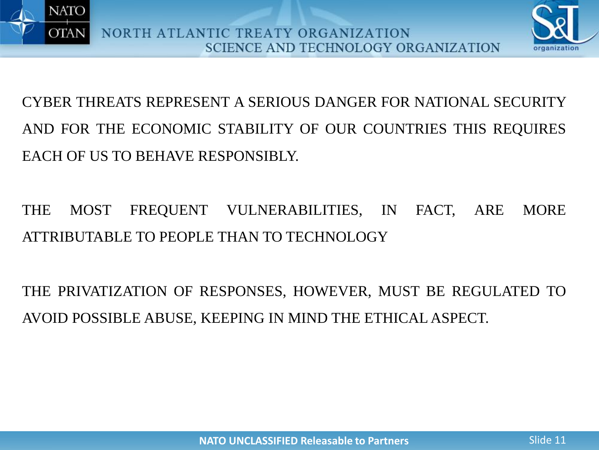



# CYBER THREATS REPRESENT A SERIOUS DANGER FOR NATIONAL SECURITY AND FOR THE ECONOMIC STABILITY OF OUR COUNTRIES THIS REQUIRES EACH OF US TO BEHAVE RESPONSIBLY.

# THE MOST FREQUENT VULNERABILITIES, IN FACT, ARE MORE ATTRIBUTABLE TO PEOPLE THAN TO TECHNOLOGY

THE PRIVATIZATION OF RESPONSES, HOWEVER, MUST BE REGULATED TO AVOID POSSIBLE ABUSE, KEEPING IN MIND THE ETHICAL ASPECT.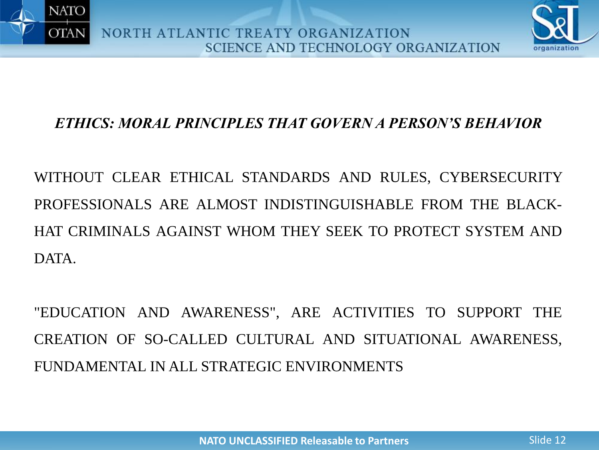



### *ETHICS: MORAL PRINCIPLES THAT GOVERN A PERSON'S BEHAVIOR*

WITHOUT CLEAR ETHICAL STANDARDS AND RULES, CYBERSECURITY PROFESSIONALS ARE ALMOST INDISTINGUISHABLE FROM THE BLACK-HAT CRIMINALS AGAINST WHOM THEY SEEK TO PROTECT SYSTEM AND **DATA** 

"EDUCATION AND AWARENESS", ARE ACTIVITIES TO SUPPORT THE CREATION OF SO-CALLED CULTURAL AND SITUATIONAL AWARENESS, FUNDAMENTAL IN ALL STRATEGIC ENVIRONMENTS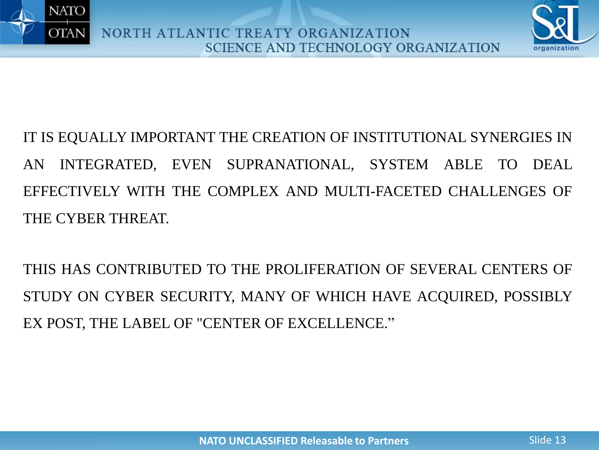



IT IS EQUALLY IMPORTANT THE CREATION OF INSTITUTIONAL SYNERGIES IN AN INTEGRATED, EVEN SUPRANATIONAL, SYSTEM ABLE TO DEAL EFFECTIVELY WITH THE COMPLEX AND MULTI-FACETED CHALLENGES OF THE CYBER THREAT.

THIS HAS CONTRIBUTED TO THE PROLIFERATION OF SEVERAL CENTERS OF STUDY ON CYBER SECURITY, MANY OF WHICH HAVE ACQUIRED, POSSIBLY EX POST, THE LABEL OF "CENTER OF EXCELLENCE."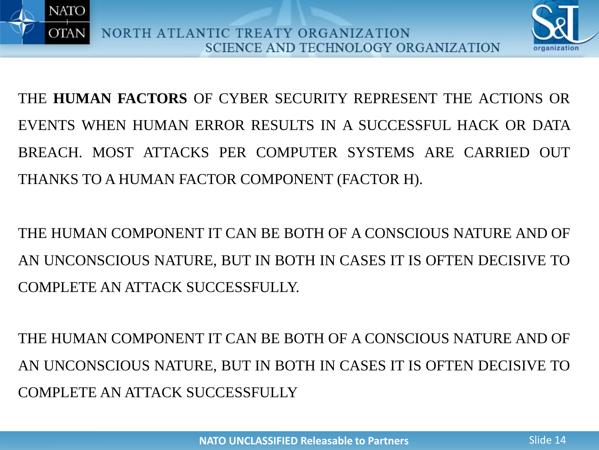



THE **HUMAN FACTORS** OF CYBER SECURITY REPRESENT THE ACTIONS OR EVENTS WHEN HUMAN ERROR RESULTS IN A SUCCESSFUL HACK OR DATA BREACH. MOST ATTACKS PER COMPUTER SYSTEMS ARE CARRIED OUT THANKS TO A HUMAN FACTOR COMPONENT (FACTOR H).

THE HUMAN COMPONENT IT CAN BE BOTH OF A CONSCIOUS NATURE AND OF AN UNCONSCIOUS NATURE, BUT IN BOTH IN CASES IT IS OFTEN DECISIVE TO COMPLETE AN ATTACK SUCCESSFULLY.

THE HUMAN COMPONENT IT CAN BE BOTH OF A CONSCIOUS NATURE AND OF AN UNCONSCIOUS NATURE, BUT IN BOTH IN CASES IT IS OFTEN DECISIVE TO COMPLETE AN ATTACK SUCCESSFULLY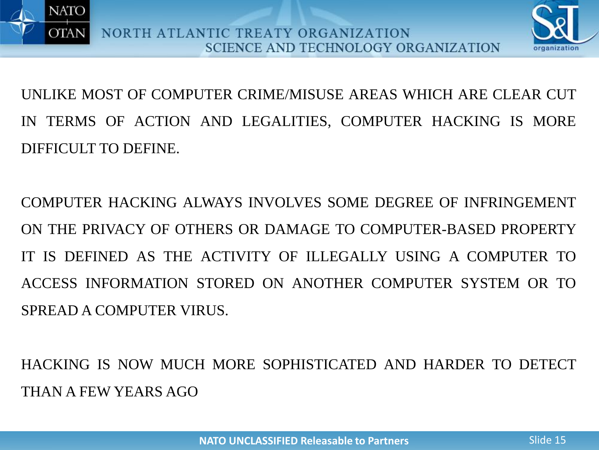



UNLIKE MOST OF COMPUTER CRIME/MISUSE AREAS WHICH ARE CLEAR CUT IN TERMS OF ACTION AND LEGALITIES, COMPUTER HACKING IS MORE DIFFICULT TO DEFINE.

COMPUTER HACKING ALWAYS INVOLVES SOME DEGREE OF INFRINGEMENT ON THE PRIVACY OF OTHERS OR DAMAGE TO COMPUTER-BASED PROPERTY IT IS DEFINED AS THE ACTIVITY OF ILLEGALLY USING A COMPUTER TO ACCESS INFORMATION STORED ON ANOTHER COMPUTER SYSTEM OR TO SPREAD A COMPUTER VIRUS.

HACKING IS NOW MUCH MORE SOPHISTICATED AND HARDER TO DETECT THAN A FEW YEARS AGO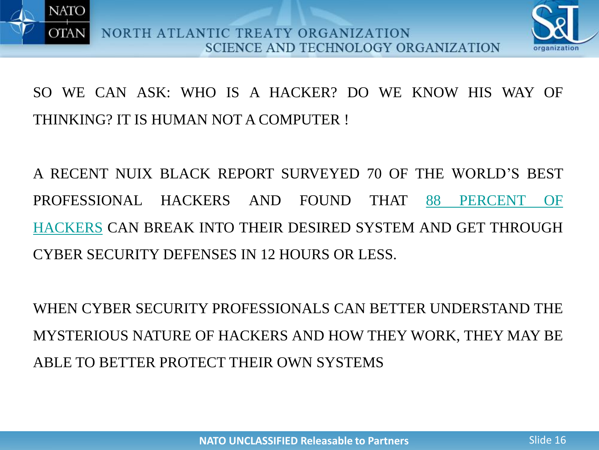



SO WE CAN ASK: WHO IS A HACKER? DO WE KNOW HIS WAY OF THINKING? IT IS HUMAN NOT A COMPUTER !

A RECENT NUIX BLACK REPORT SURVEYED 70 OF THE WORLD'S BEST [PROFESSIONAL](http://www.information-age.com/cyber-security-hackers-perspective-123464671/) HACKERS AND FOUND THAT 88 PERCENT OF HACKERS CAN BREAK INTO THEIR DESIRED SYSTEM AND GET THROUGH CYBER SECURITY DEFENSES IN 12 HOURS OR LESS.

WHEN CYBER SECURITY PROFESSIONALS CAN BETTER UNDERSTAND THE MYSTERIOUS NATURE OF HACKERS AND HOW THEY WORK, THEY MAY BE ABLE TO BETTER PROTECT THEIR OWN SYSTEMS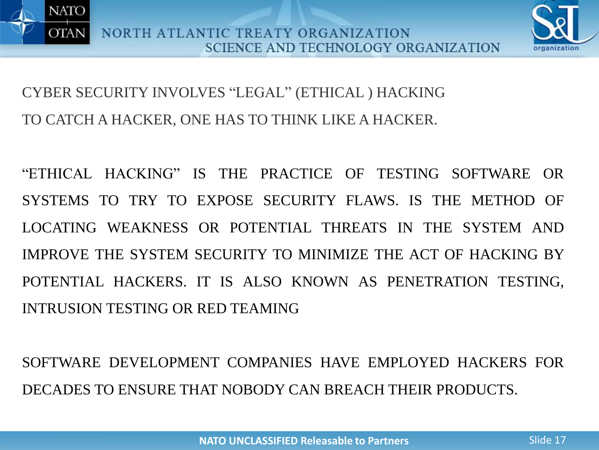



CYBER SECURITY INVOLVES "LEGAL" (ETHICAL ) HACKING TO CATCH A HACKER, ONE HAS TO THINK LIKE A HACKER.

"ETHICAL HACKING" IS THE PRACTICE OF TESTING SOFTWARE OR SYSTEMS TO TRY TO EXPOSE SECURITY FLAWS. IS THE METHOD OF LOCATING WEAKNESS OR POTENTIAL THREATS IN THE SYSTEM AND IMPROVE THE SYSTEM SECURITY TO MINIMIZE THE ACT OF HACKING BY POTENTIAL HACKERS. IT IS ALSO KNOWN AS PENETRATION TESTING, INTRUSION TESTING OR RED TEAMING

SOFTWARE DEVELOPMENT COMPANIES HAVE EMPLOYED HACKERS FOR DECADES TO ENSURE THAT NOBODY CAN BREACH THEIR PRODUCTS.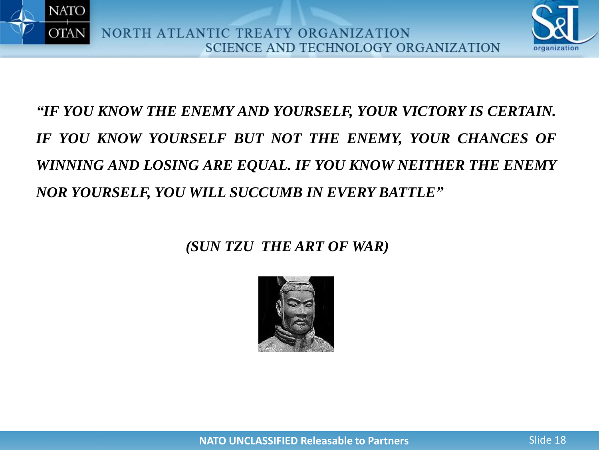



# *"IF YOU KNOW THE ENEMY AND YOURSELF, YOUR VICTORY IS CERTAIN. IF YOU KNOW YOURSELF BUT NOT THE ENEMY, YOUR CHANCES OF WINNING AND LOSING ARE EQUAL. IF YOU KNOW NEITHER THE ENEMY NOR YOURSELF, YOU WILL SUCCUMB IN EVERY BATTLE"*

### *(SUN TZU THE ART OF WAR)*

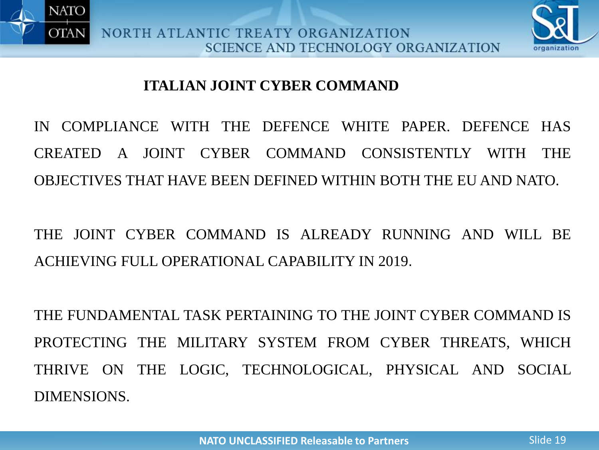



### **ITALIAN JOINT CYBER COMMAND**

IN COMPLIANCE WITH THE DEFENCE WHITE PAPER. DEFENCE HAS CREATED A JOINT CYBER COMMAND CONSISTENTLY WITH THE OBJECTIVES THAT HAVE BEEN DEFINED WITHIN BOTH THE EU AND NATO.

THE JOINT CYBER COMMAND IS ALREADY RUNNING AND WILL BE ACHIEVING FULL OPERATIONAL CAPABILITY IN 2019.

THE FUNDAMENTAL TASK PERTAINING TO THE JOINT CYBER COMMAND IS PROTECTING THE MILITARY SYSTEM FROM CYBER THREATS, WHICH THRIVE ON THE LOGIC, TECHNOLOGICAL, PHYSICAL AND SOCIAL DIMENSIONS.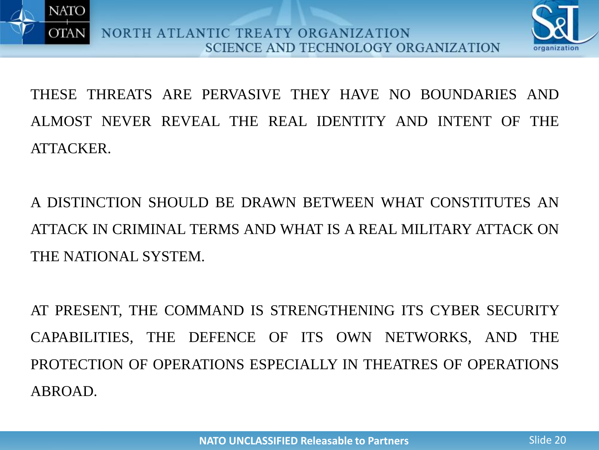



THESE THREATS ARE PERVASIVE THEY HAVE NO BOUNDARIES AND ALMOST NEVER REVEAL THE REAL IDENTITY AND INTENT OF THE ATTACKER.

A DISTINCTION SHOULD BE DRAWN BETWEEN WHAT CONSTITUTES AN ATTACK IN CRIMINAL TERMS AND WHAT IS A REAL MILITARY ATTACK ON THE NATIONAL SYSTEM.

AT PRESENT, THE COMMAND IS STRENGTHENING ITS CYBER SECURITY CAPABILITIES, THE DEFENCE OF ITS OWN NETWORKS, AND THE PROTECTION OF OPERATIONS ESPECIALLY IN THEATRES OF OPERATIONS ABROAD.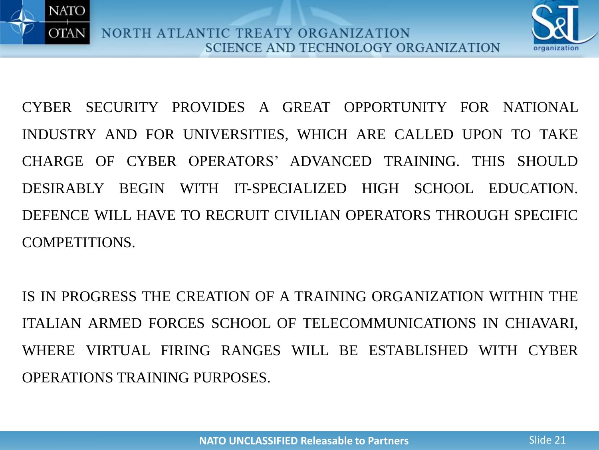



CYBER SECURITY PROVIDES A GREAT OPPORTUNITY FOR NATIONAL INDUSTRY AND FOR UNIVERSITIES, WHICH ARE CALLED UPON TO TAKE CHARGE OF CYBER OPERATORS' ADVANCED TRAINING. THIS SHOULD DESIRABLY BEGIN WITH IT-SPECIALIZED HIGH SCHOOL EDUCATION. DEFENCE WILL HAVE TO RECRUIT CIVILIAN OPERATORS THROUGH SPECIFIC COMPETITIONS.

IS IN PROGRESS THE CREATION OF A TRAINING ORGANIZATION WITHIN THE ITALIAN ARMED FORCES SCHOOL OF TELECOMMUNICATIONS IN CHIAVARI, WHERE VIRTUAL FIRING RANGES WILL BE ESTABLISHED WITH CYBER OPERATIONS TRAINING PURPOSES.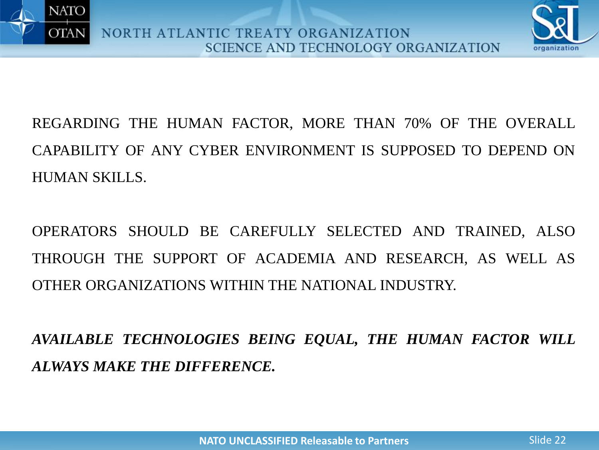



REGARDING THE HUMAN FACTOR, MORE THAN 70% OF THE OVERALL CAPABILITY OF ANY CYBER ENVIRONMENT IS SUPPOSED TO DEPEND ON HUMAN SKILLS.

OPERATORS SHOULD BE CAREFULLY SELECTED AND TRAINED, ALSO THROUGH THE SUPPORT OF ACADEMIA AND RESEARCH, AS WELL AS OTHER ORGANIZATIONS WITHIN THE NATIONAL INDUSTRY.

*AVAILABLE TECHNOLOGIES BEING EQUAL, THE HUMAN FACTOR WILL ALWAYS MAKE THE DIFFERENCE.*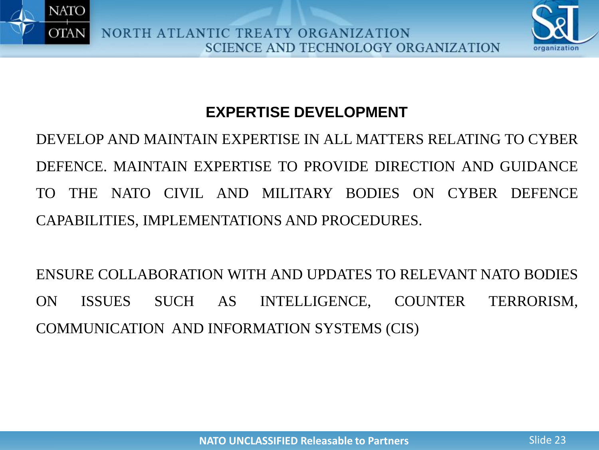



# **EXPERTISE DEVELOPMENT**

DEVELOP AND MAINTAIN EXPERTISE IN ALL MATTERS RELATING TO CYBER DEFENCE. MAINTAIN EXPERTISE TO PROVIDE DIRECTION AND GUIDANCE TO THE NATO CIVIL AND MILITARY BODIES ON CYBER DEFENCE CAPABILITIES, IMPLEMENTATIONS AND PROCEDURES.

ENSURE COLLABORATION WITH AND UPDATES TO RELEVANT NATO BODIES ON ISSUES SUCH AS INTELLIGENCE, COUNTER TERRORISM, COMMUNICATION AND INFORMATION SYSTEMS (CIS)